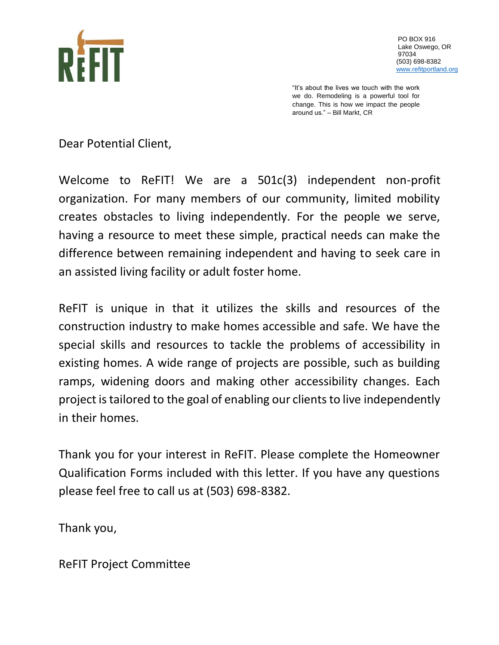

PO BOX 916 Lake Oswego, OR 97034 (503) 698-8382 [www.refitportland.org](http://www.refitportland.org/)

"It's about the lives we touch with the work we do. Remodeling is a powerful tool for change. This is how we impact the people around us." – Bill Markt, CR

Dear Potential Client,

Welcome to ReFIT! We are a 501c(3) independent non-profit organization. For many members of our community, limited mobility creates obstacles to living independently. For the people we serve, having a resource to meet these simple, practical needs can make the difference between remaining independent and having to seek care in an assisted living facility or adult foster home.

ReFIT is unique in that it utilizes the skills and resources of the construction industry to make homes accessible and safe. We have the special skills and resources to tackle the problems of accessibility in existing homes. A wide range of projects are possible, such as building ramps, widening doors and making other accessibility changes. Each project is tailored to the goal of enabling our clients to live independently in their homes.

Thank you for your interest in ReFIT. Please complete the Homeowner Qualification Forms included with this letter. If you have any questions please feel free to call us at (503) 698-8382.

Thank you,

ReFIT Project Committee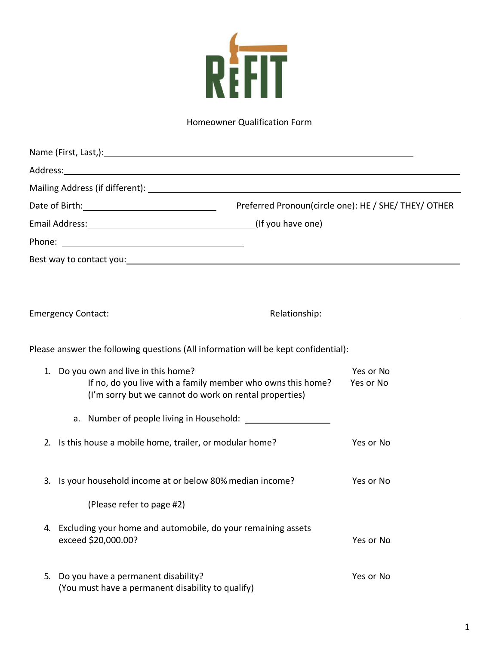

## Homeowner Qualification Form

| Address: <u>with a series of the series of the series of the series of the series of the series of the series of the series of the series of the series of the series of the series of the series of the series of the series of</u> |                                                             |                                                      |
|--------------------------------------------------------------------------------------------------------------------------------------------------------------------------------------------------------------------------------------|-------------------------------------------------------------|------------------------------------------------------|
|                                                                                                                                                                                                                                      |                                                             |                                                      |
|                                                                                                                                                                                                                                      |                                                             | Preferred Pronoun(circle one): HE / SHE/ THEY/ OTHER |
|                                                                                                                                                                                                                                      |                                                             |                                                      |
|                                                                                                                                                                                                                                      |                                                             |                                                      |
| Best way to contact you: example and a series of the series of the series of the series of the series of the series of the series of the series of the series of the series of the series of the series of the series of the s       |                                                             |                                                      |
|                                                                                                                                                                                                                                      |                                                             |                                                      |
|                                                                                                                                                                                                                                      |                                                             |                                                      |
| Please answer the following questions (All information will be kept confidential):                                                                                                                                                   |                                                             |                                                      |
| 1. Do you own and live in this home?<br>(I'm sorry but we cannot do work on rental properties)                                                                                                                                       | If no, do you live with a family member who owns this home? | Yes or No<br>Yes or No                               |
|                                                                                                                                                                                                                                      |                                                             |                                                      |
| 2. Is this house a mobile home, trailer, or modular home?                                                                                                                                                                            |                                                             | Yes or No                                            |
| Is your household income at or below 80% median income?<br>3.                                                                                                                                                                        |                                                             | Yes or No                                            |
| (Please refer to page #2)                                                                                                                                                                                                            |                                                             |                                                      |
| 4. Excluding your home and automobile, do your remaining assets<br>exceed \$20,000.00?                                                                                                                                               |                                                             | Yes or No                                            |
| Do you have a permanent disability?<br>5.<br>(You must have a permanent disability to qualify)                                                                                                                                       |                                                             | Yes or No                                            |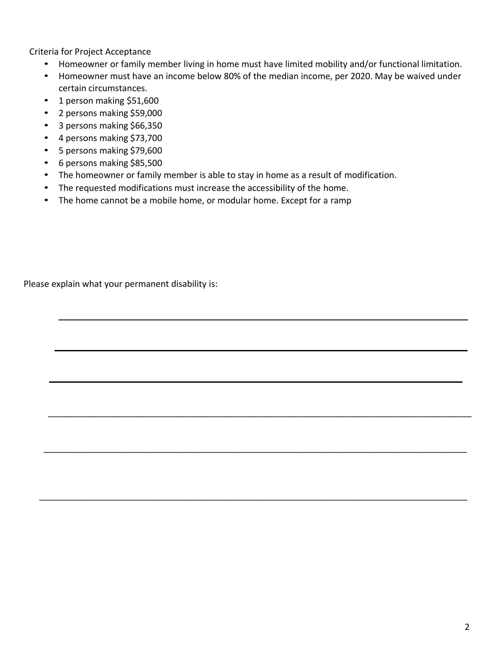Criteria for Project Acceptance

- Homeowner or family member living in home must have limited mobility and/or functional limitation.
- Homeowner must have an income below 80% of the median income, per 2020. May be waived under certain circumstances.

\_\_\_\_\_\_\_\_\_\_\_\_\_\_\_\_\_\_\_\_\_\_\_\_\_\_\_\_\_\_\_\_\_\_\_\_\_\_\_\_\_\_\_\_\_\_\_\_\_\_\_\_\_\_\_\_\_\_\_\_\_\_\_\_\_\_\_\_\_\_\_\_\_\_\_\_\_\_\_\_\_\_\_\_\_\_\_

\_\_\_\_\_\_\_\_\_\_\_\_\_\_\_\_\_\_\_\_\_\_\_\_\_\_\_\_\_\_\_\_\_\_\_\_\_\_\_\_\_\_\_\_\_\_\_\_\_\_\_\_\_\_\_\_\_\_\_\_\_\_\_\_\_\_\_\_\_\_\_\_\_\_\_\_\_\_\_\_\_\_\_\_\_\_\_

\_\_\_\_\_\_\_\_\_\_\_\_\_\_\_\_\_\_\_\_\_\_\_\_\_\_\_\_\_\_\_\_\_\_\_\_\_\_\_\_\_\_\_\_\_\_\_\_\_\_\_\_\_\_\_\_\_\_\_\_\_\_\_\_\_\_\_\_\_\_\_\_\_\_\_\_\_\_\_\_\_\_\_\_\_\_\_\_

- 1 person making \$51,600
- 2 persons making \$59,000
- 3 persons making \$66,350
- 4 persons making \$73,700
- 5 persons making \$79,600
- 6 persons making \$85,500
- The homeowner or family member is able to stay in home as a result of modification.
- The requested modifications must increase the accessibility of the home.
- The home cannot be a mobile home, or modular home. Except for a ramp

Please explain what your permanent disability is: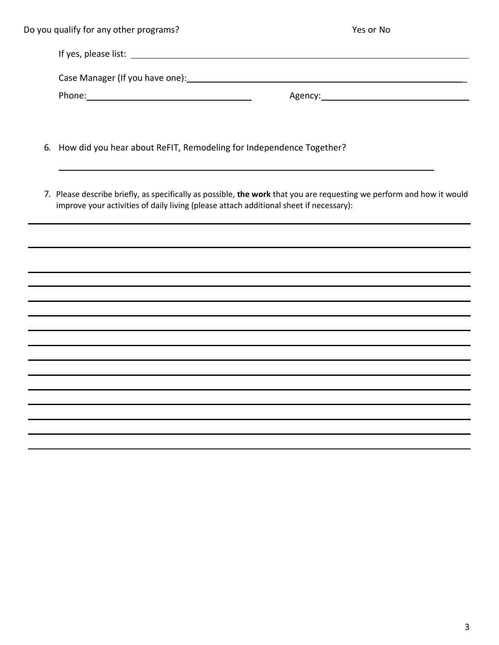| Do you qualify for any other programs? | Yes or No |
|----------------------------------------|-----------|
|                                        |           |
|                                        |           |
|                                        |           |
|                                        |           |

- 6. How did you hear about ReFIT, Remodeling for Independence Together?
- 7. Please describe briefly, as specifically as possible, **the work** that you are requesting we perform and how it would improve your activities of daily living (please attach additional sheet if necessary):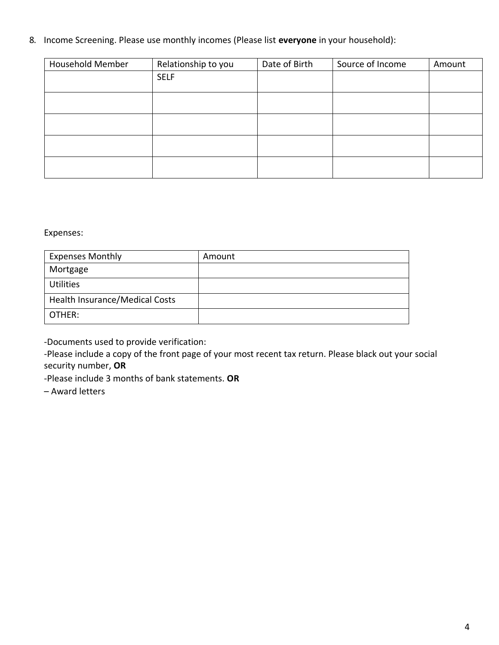### 8. Income Screening. Please use monthly incomes (Please list **everyone** in your household):

| <b>Household Member</b> | Relationship to you | Date of Birth | Source of Income | Amount |
|-------------------------|---------------------|---------------|------------------|--------|
|                         | <b>SELF</b>         |               |                  |        |
|                         |                     |               |                  |        |
|                         |                     |               |                  |        |
|                         |                     |               |                  |        |
|                         |                     |               |                  |        |
|                         |                     |               |                  |        |
|                         |                     |               |                  |        |
|                         |                     |               |                  |        |

Expenses:

| <b>Expenses Monthly</b>               | Amount |
|---------------------------------------|--------|
| Mortgage                              |        |
| <b>Utilities</b>                      |        |
| <b>Health Insurance/Medical Costs</b> |        |
| OTHER:                                |        |

-Documents used to provide verification:

-Please include a copy of the front page of your most recent tax return. Please black out your social security number, **OR**

-Please include 3 months of bank statements. **OR**

– Award letters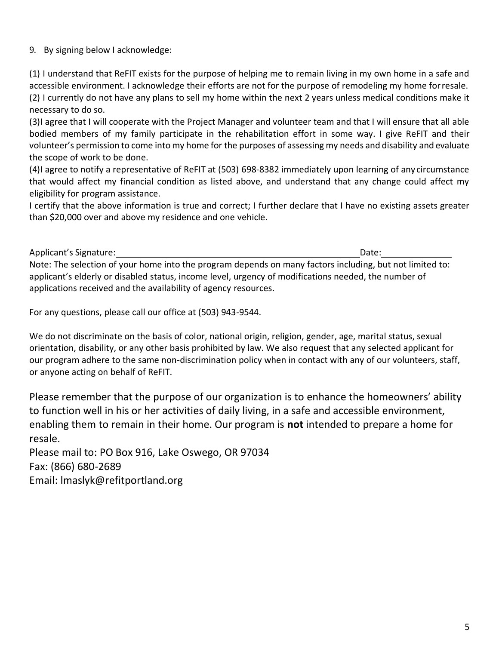### 9. By signing below I acknowledge:

(1) I understand that ReFIT exists for the purpose of helping me to remain living in my own home in a safe and accessible environment. I acknowledge their efforts are not for the purpose of remodeling my home forresale. (2) I currently do not have any plans to sell my home within the next 2 years unless medical conditions make it necessary to do so.

(3)I agree that I will cooperate with the Project Manager and volunteer team and that I will ensure that all able bodied members of my family participate in the rehabilitation effort in some way. I give ReFIT and their volunteer's permission to come into my home for the purposes of assessing my needs and disability and evaluate the scope of work to be done.

(4)I agree to notify a representative of ReFIT at (503) 698-8382 immediately upon learning of any circumstance that would affect my financial condition as listed above, and understand that any change could affect my eligibility for program assistance.

I certify that the above information is true and correct; I further declare that I have no existing assets greater than \$20,000 over and above my residence and one vehicle.

Applicant's Signature: **Date:** Date: Date: Date: Date: Date: Date: Date: Date: Date: Date: Date: Date: Date: Date: Date: Date: Date: Date: Date: Date: Date: Date: Date: Date: Date: Date: Date: Date: Date: Date: Date: Date:

Note: The selection of your home into the program depends on many factors including, but not limited to: applicant's elderly or disabled status, income level, urgency of modifications needed, the number of applications received and the availability of agency resources.

For any questions, please call our office at (503) 943-9544.

We do not discriminate on the basis of color, national origin, religion, gender, age, marital status, sexual orientation, disability, or any other basis prohibited by law. We also request that any selected applicant for our program adhere to the same non-discrimination policy when in contact with any of our volunteers, staff, or anyone acting on behalf of ReFIT.

Please remember that the purpose of our organization is to enhance the homeowners' ability to function well in his or her activities of daily living, in a safe and accessible environment, enabling them to remain in their home. Our program is **not** intended to prepare a home for resale.

Please mail to: PO Box 916, Lake Oswego, OR 97034 Fax: (866) 680-2689 Email: [lmaslyk@refitportland.org](mailto:lmaslyk@refitportland.org)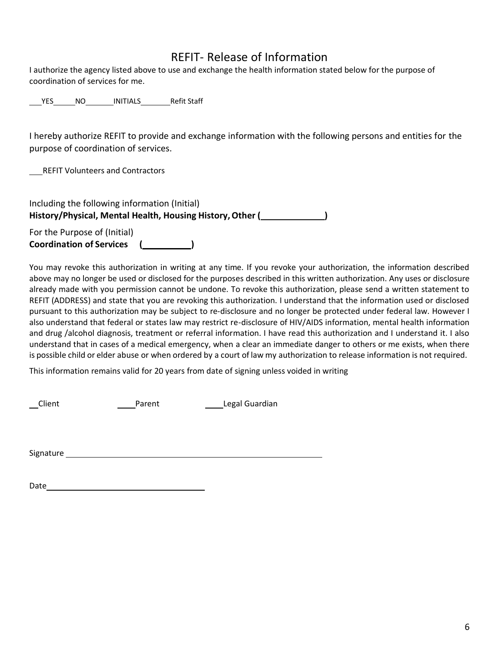# REFIT- Release of Information

I authorize the agency listed above to use and exchange the health information stated below for the purpose of coordination of services for me.

YES NO INITIALS Refit Staff

I hereby authorize REFIT to provide and exchange information with the following persons and entities for the purpose of coordination of services.

REFIT Volunteers and Contractors

| Including the following information (Initial)             |  |
|-----------------------------------------------------------|--|
| History/Physical, Mental Health, Housing History, Other ( |  |
| For the Purpose of (Initial)                              |  |
| <b>Coordination of Services</b>                           |  |

You may revoke this authorization in writing at any time. If you revoke your authorization, the information described above may no longer be used or disclosed for the purposes described in this written authorization. Any uses or disclosure already made with you permission cannot be undone. To revoke this authorization, please send a written statement to REFIT (ADDRESS) and state that you are revoking this authorization. I understand that the information used or disclosed pursuant to this authorization may be subject to re-disclosure and no longer be protected under federal law. However I also understand that federal or states law may restrict re-disclosure of HIV/AIDS information, mental health information and drug /alcohol diagnosis, treatment or referral information. I have read this authorization and I understand it. I also understand that in cases of a medical emergency, when a clear an immediate danger to others or me exists, when there is possible child or elder abuse or when ordered by a court of law my authorization to release information is not required.

This information remains valid for 20 years from date of signing unless voided in writing

Client Parent Legal Guardian

Signature